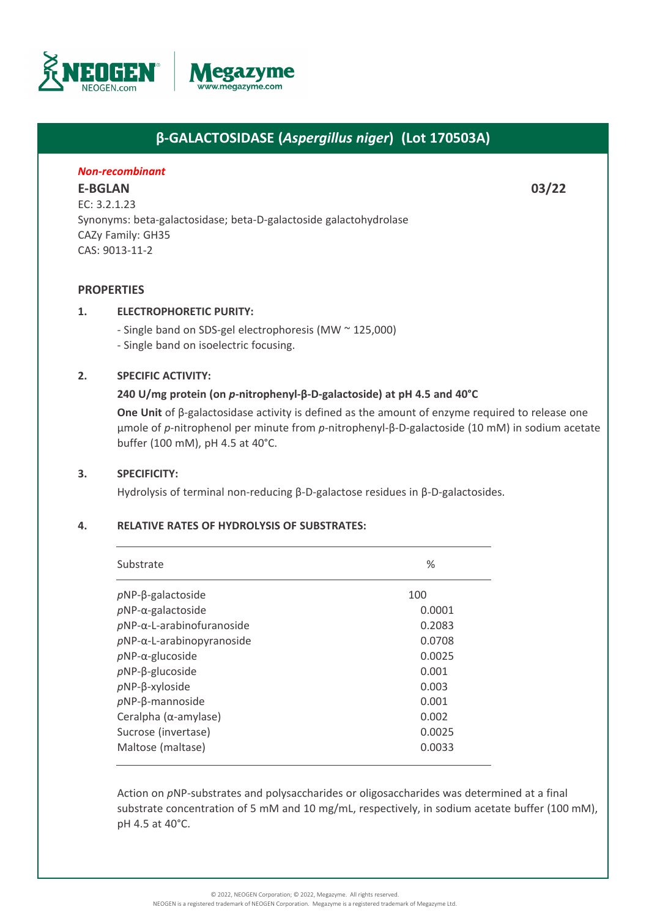

# **β-GALACTOSIDASE (***Aspergillus niger***) (Lot 170503A)**

# *Non-recombinant*

**[E-BGLAN](https://www.megazyme.com/beta-galactosidase-aspergillus-niger) 03/22** EC: 3.2.1.23 Synonyms: beta-galactosidase; beta-D-galactoside galactohydrolase CAZy Family: GH35 CAS: 9013-11-2

# **PROPERTIES**

## **1. ELECTROPHORETIC PURITY:**

- Single band on SDS-gel electrophoresis (MW ~ 125,000) - Single band on isoelectric focusing.

## **2. SPECIFIC ACTIVITY:**

## **240 U/mg protein (on** *p***-nitrophenyl-β-D-galactoside) at pH 4.5 and 40°C**

**One Unit** of β-galactosidase activity is defined as the amount of enzyme required to release one µmole of *p*-nitrophenol per minute from *p*-nitrophenyl-β-D-galactoside (10 mM) in sodium acetate buffer (100 mM), pH 4.5 at 40°C.

#### **3. SPECIFICITY:**

Hydrolysis of terminal non-reducing β-D-galactose residues in β-D-galactosides.

#### **4. RELATIVE RATES OF HYDROLYSIS OF SUBSTRATES:**

| Substrate                         | $\%$   |
|-----------------------------------|--------|
| $pNP$ -galactoside                | 100    |
| $pNP-\alpha$ -galactoside         | 0.0001 |
| $pNP-\alpha$ -L-arabinofuranoside | 0.2083 |
| $pNP-\alpha$ -L-arabinopyranoside | 0.0708 |
| $pNP-\alpha$ -glucoside           | 0.0025 |
| $pNP-\beta$ -glucoside            | 0.001  |
| $pNP$ - $\beta$ -xyloside         | 0.003  |
| $pNP-\beta$ -mannoside            | 0.001  |
| Ceralpha ( $\alpha$ -amylase)     | 0.002  |
| Sucrose (invertase)               | 0.0025 |
| Maltose (maltase)                 | 0.0033 |

Action on *p*NP-substrates and polysaccharides or oligosaccharides was determined at a final substrate concentration of 5 mM and 10 mg/mL, respectively, in sodium acetate buffer (100 mM), pH 4.5 at 40°C.